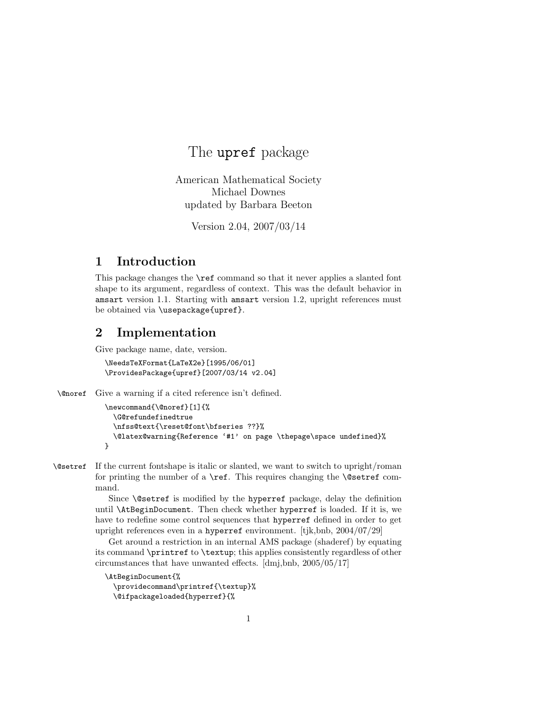## The upref package

American Mathematical Society Michael Downes updated by Barbara Beeton

Version 2.04, 2007/03/14

## 1 Introduction

This package changes the \ref command so that it never applies a slanted font shape to its argument, regardless of context. This was the default behavior in amsart version 1.1. Starting with amsart version 1.2, upright references must be obtained via \usepackage{upref}.

## 2 Implementation

Give package name, date, version.

```
\NeedsTeXFormat{LaTeX2e}[1995/06/01]
\ProvidesPackage{upref}[2007/03/14 v2.04]
```
\@noref Give a warning if a cited reference isn't defined.

```
\newcommand{\@noref}[1]{%
  \G@refundefinedtrue
  \nfss@text{\reset@font\bfseries ??}%
  \@latex@warning{Reference '#1' on page \thepage\space undefined}%
}
```
\@setref If the current fontshape is italic or slanted, we want to switch to upright/roman for printing the number of a  $\ref$ . This requires changing the  $\@set$ ref command.

> Since **\@setref** is modified by the hyperref package, delay the definition until \AtBeginDocument. Then check whether hyperref is loaded. If it is, we have to redefine some control sequences that hyperref defined in order to get upright references even in a hyperref environment. [tjk,bnb, 2004/07/29]

> Get around a restriction in an internal AMS package (shaderef) by equating its command \printref to \textup; this applies consistently regardless of other circumstances that have unwanted effects. [dmj,bnb, 2005/05/17]

```
\AtBeginDocument{%
 \providecommand\printref{\textup}%
 \@ifpackageloaded{hyperref}{%
```